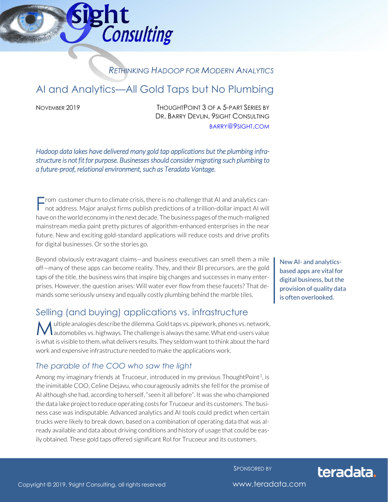## *RETHINKING HADOOP FOR MODERN ANALYTICS*

# AI and Analytics—All Gold Taps but No Plumbing

**Consulting** 

ght

NOVEMBER 2019 THOUGHTPOINT 3 OF A 5-PART SERIES BY DR. BARRY DEVLIN, 9SIGHT CONSULTING [BARRY](mailto:barry@9sight.com)@9SIGHT.COM

*Hadoop data lakes have delivered many gold tap applications but the plumbing infrastructure is not fit for purpose. Businesses should consider migrating such plumbing to a future-proof, relational environment, such as Teradata Vantage.* 

 $\blacksquare$  rom customer churn to climate crisis, there is no challenge that AI and analytics can-From customer churn to climate crisis, there is no challenge that AI and analytics cannot address. Major analyst firms publish predictions of a trillion-dollar impact AI will have on the world economy in the next decade. The business pages of the much-maligned mainstream media paint pretty pictures of algorithm-enhanced enterprises in the near future. New and exciting gold-standard applications will reduce costs and drive profits for digital businesses. Or so the stories go.

Beyond obviously extravagant claims—and business executives can smell them a mile off—many of these apps can become reality. They, and their BI precursors, are the gold taps of the title, the business wins that inspire big changes and successes in many enterprises. However, the question arises: Will water ever flow from these faucets? That demands some seriously unsexy and equally costly plumbing behind the marble tiles.

### Selling (and buying) applications vs. infrastructure

ultiple analogies describe the dilemma. Gold taps vs. pipework, phones vs. network, **M** ultiple analogies describe the dilemma. Gold taps vs. pipework, phones vs. network, and the same. What end-users value is what is visible to them, what delivers results. They seldom want to think about the hard work and expensive infrastructure needed to make the applications work.

#### *The parable of the COO who saw the light*

Among my imaginary friends at Trucoeur, introduced in my previous ThoughtPoint<sup>1</sup>, is the inimitable COO, Celine Dejavu, who courageously admits she fell for the promise of AI although she had, according to herself, "seen it all before". It was she who championed the data lake project to reduce operating costs for Trucoeur and its customers. The business case was indisputable. Advanced analytics and AI tools could predict when certain trucks were likely to break down, based on a combination of operating data that was already available and data about driving conditions and history of usage that could be easily obtained. These gold taps offered significant RoI for Trucoeur and its customers.

New AI- and analyticsbased apps are vital for digital business, but the provision of quality data is often overlooked.

SPONSORED BY



Copyright © 2019, 9sight Consulting, all rights reserved www.teradata.com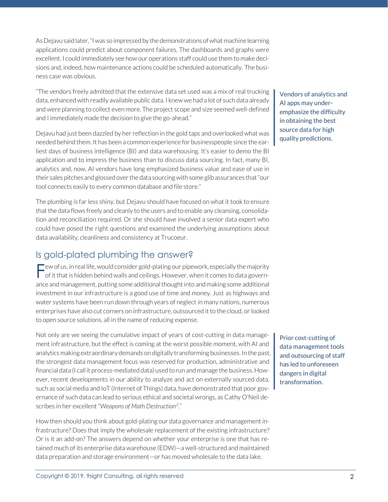As Dejavu said later, "I was so impressed by the demonstrations of what machine learning applications could predict about component failures. The dashboards and graphs were excellent. I could immediately see how our operations staff could use them to make decisions and, indeed, how maintenance actions could be scheduled automatically. The business case was obvious.

"The vendors freely admitted that the extensive data set used was a mix of real trucking data, enhanced with readily available public data. I knew we had a lot of such data already and were planning to collect even more. The project scope and size seemed well-defined and I immediately made the decision to give the go-ahead."

Dejavu had just been dazzled by her reflection in the gold taps and overlooked what was needed behind them. It has been a common experience for businesspeople since the earliest days of business intelligence (BI) and data warehousing. It's easier to demo the BI application and to impress the business than to discuss data sourcing. In fact, many BI, analytics and, now, AI vendors have long emphasized business value and ease of use in their sales pitches and glossed over the data sourcing with some glib assurances that "our tool connects easily to every common database and file store."

The plumbing is far less shiny, but Dejavu should have focused on what it took to ensure that the data flows freely and cleanly to the users and to enable any cleansing, consolidation and reconciliation required. Or she should have involved a senior data expert who could have posed the right questions and examined the underlying assumptions about data availability, cleanliness and consistency at Trucoeur.

### Is gold-plated plumbing the answer?

 $\blacksquare$  ew of us, in real life, would consider gold-plating our pipework, especially the majority Few of us, in real life, would consider gold-plating our pipework, especially the majority<br>of it that is hidden behind walls and ceilings. However, when it comes to data governance and management, putting some additional thought into and making some additional investment in our infrastructure is a good use of time and money. Just as highways and water systems have been run down through years of neglect in many nations, numerous enterprises have also cut corners on infrastructure, outsourced it to the cloud, or looked to open source solutions, all in the name of reducing expense.

Not only are we seeing the cumulative impact of years of cost-cutting in data management infrastructure, but the effect is coming at the worst possible moment, with AI and analytics making extraordinary demands on digitally transforming businesses. In the past, the strongest data management focus was reserved for production, administrative and financial data (I call it process-mediated data) used to run and manage the business. However, recent developments in our ability to analyze and act on externally sourced data, such as social media and IoT (Internet of Things) data, have demonstrated that poor governance of such data can lead to serious ethical and societal wrongs, as Cathy O'Neil describes in her excellent "*Weapons of Math Destruction<sup>2</sup>* ."

How then should you think about gold-plating our data governance and management infrastructure? Does that imply the wholesale replacement of the existing infrastructure? Or is it an add-on? The answers depend on whether your enterprise is one that has retained much of its enterprise data warehouse (EDW)—a well-structured and maintained data preparation and storage environment—or has moved wholesale to the data lake.

Vendors of analytics and AI apps may underemphasize the difficulty in obtaining the best source data for high quality predictions.

Prior cost-cutting of data management tools and outsourcing of staff has led to unforeseen dangers in digital transformation.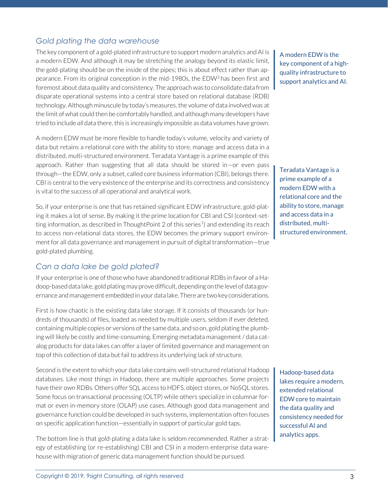#### *Gold plating the data warehouse*

The key component of a gold-plated infrastructure to support modern analytics and AI is a modern EDW. And although it may be stretching the analogy beyond its elastic limit, the gold-plating should be on the inside of the pipes; this is about effect rather than appearance. From its original conception in the mid-1980s, the EDW<sup>3</sup> has been first and foremost about data quality and consistency. The approach was to consolidate data from disparate operational systems into a central store based on relational database (RDB) technology. Although minuscule by today's measures, the volume of data involved was at the limit of what could then be comfortably handled, and although many developers have tried to include *all* data there, this is increasingly impossible as data volumes have grown.

A modern EDW must be more flexible to handle today's volume, velocity and variety of data but retains a relational core with the ability to store, manage and access data in a distributed, multi-structured environment. Teradata Vantage is a prime example of this approach. Rather than suggesting that all data should be stored in—or even pass through—the EDW, only a subset, called core business information (CBI), belongs there. CBI is central to the very existence of the enterprise and its correctness and consistency is vital to the success of all operational and analytical work.

So, if your enterprise is one that has retained significant EDW infrastructure, gold-plating it makes a lot of sense. By making it the prime location for CBI and CSI (context-setting information, as described in ThoughtPoint 2 of this series<sup>1</sup>) and extending its reach to access non-relational data stores, the EDW becomes the primary support environment for all data governance and management in pursuit of digital transformation—true gold-plated plumbing.

#### *Can a data lake be gold plated?*

If your enterprise is one of those who have abandoned traditional RDBs in favor of a Hadoop-based data lake, gold plating may prove difficult, depending on the level of data governance and management embedded in your data lake. There are two key considerations.

First is how chaotic is the existing data lake storage. If it consists of thousands (or hundreds of thousands) of files, loaded as needed by multiple users, seldom if ever deleted, containing multiple copies or versions of the same data, and so on, gold plating the plumbing will likely be costly and time-consuming. Emerging metadata management / data catalog products for data lakes can offer a layer of limited governance and management on top of this collection of data but fail to address its underlying lack of structure.

Second is the extent to which your data lake contains well-structured relational Hadoop databases. Like most things in Hadoop, there are multiple approaches. Some projects have their own RDBs. Others offer SQL access to HDFS, object stores, or NoSQL stores. Some focus on transactional processing (OLTP) while others specialize in columnar format or even in-memory store (OLAP) use cases. Although good data management and governance function could be developed in such systems, implementation often focuses on specific application function—essentially in support of particular gold taps.

The bottom line is that gold-plating a data lake is seldom recommended. Rather a strategy of establishing (or re-establishing) CBI and CSI in a modern enterprise data warehouse with migration of generic data management function should be pursued.

A modern EDW is the key component of a highquality infrastructure to support analytics and AI.

Teradata Vantage is a prime example of a modern EDW with a relational core and the ability to store, manage and access data in a distributed, multistructured environment.

Hadoop-based data lakes require a modern, extended relational EDW core to maintain the data quality and consistency needed for successful AI and analytics apps.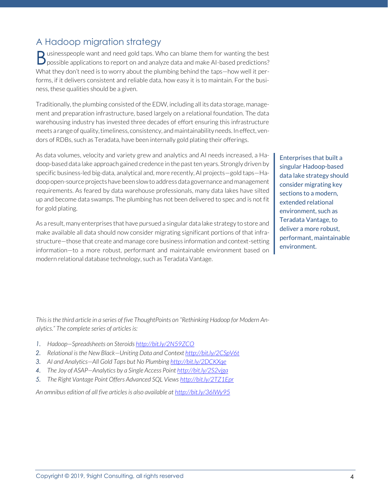## A Hadoop migration strategy

 $\Box$  usinesspeople want and need gold taps. Who can blame them for wanting the best  $B$  usinesspeople want and need gold taps. Who can blame them for wanting the best predictions? What they don't need is to worry about the plumbing behind the taps—how well it performs, if it delivers consistent and reliable data, how easy it is to maintain. For the business, these qualities should be a given.

Traditionally, the plumbing consisted of the EDW, including all its data storage, management and preparation infrastructure, based largely on a relational foundation. The data warehousing industry has invested three decades of effort ensuring this infrastructure meets a range of quality, timeliness, consistency, and maintainability needs. In effect, vendors of RDBs, such as Teradata, have been internally gold plating their offerings.

As data volumes, velocity and variety grew and analytics and AI needs increased, a Hadoop-based data lake approach gained credence in the past ten years. Strongly driven by specific business-led big-data, analytical and, more recently, AI projects—gold taps—Hadoop open-source projects have been slow to address data governance and management requirements. As feared by data warehouse professionals, many data lakes have silted up and become data swamps. The plumbing has not been delivered to spec and is not fit for gold plating.

As a result, many enterprises that have pursued a singular data lake strategy to store and make available all data should now consider migrating significant portions of that infrastructure—those that create and manage core business information and context-setting information—to a more robust, performant and maintainable environment based on modern relational database technology, such as Teradata Vantage.

Enterprises that built a singular Hadoop-based data lake strategy should consider migrating key sections to a modern, extended relational environment, such as Teradata Vantage, to deliver a more robust, performant, maintainable environment.

*This is the third article in a series of five ThoughtPoints on "Rethinking Hadoop for Modern Analytics." The complete series of articles is:*

- *1. Hadoop—Spreadsheets on Steroids <http://bit.ly/2N59ZCO>*
- *2. Relational is the New Black—Uniting Data and Context <http://bit.ly/2CSpV6t>*
- *3. AI and Analytics—All Gold Taps but No Plumbing <http://bit.ly/2DCKXqe>*
- *4. The Joy of ASAP—Analytics by a Single Access Point<http://bit.ly/2S2vjga>*
- *5. The Right Vantage Point Offers Advanced SQL Views <http://bit.ly/2TZ1Epr>*

*An omnibus edition of all five articles is also available a[t http://bit.ly/36lWy95](http://bit.ly/36lWy95)*